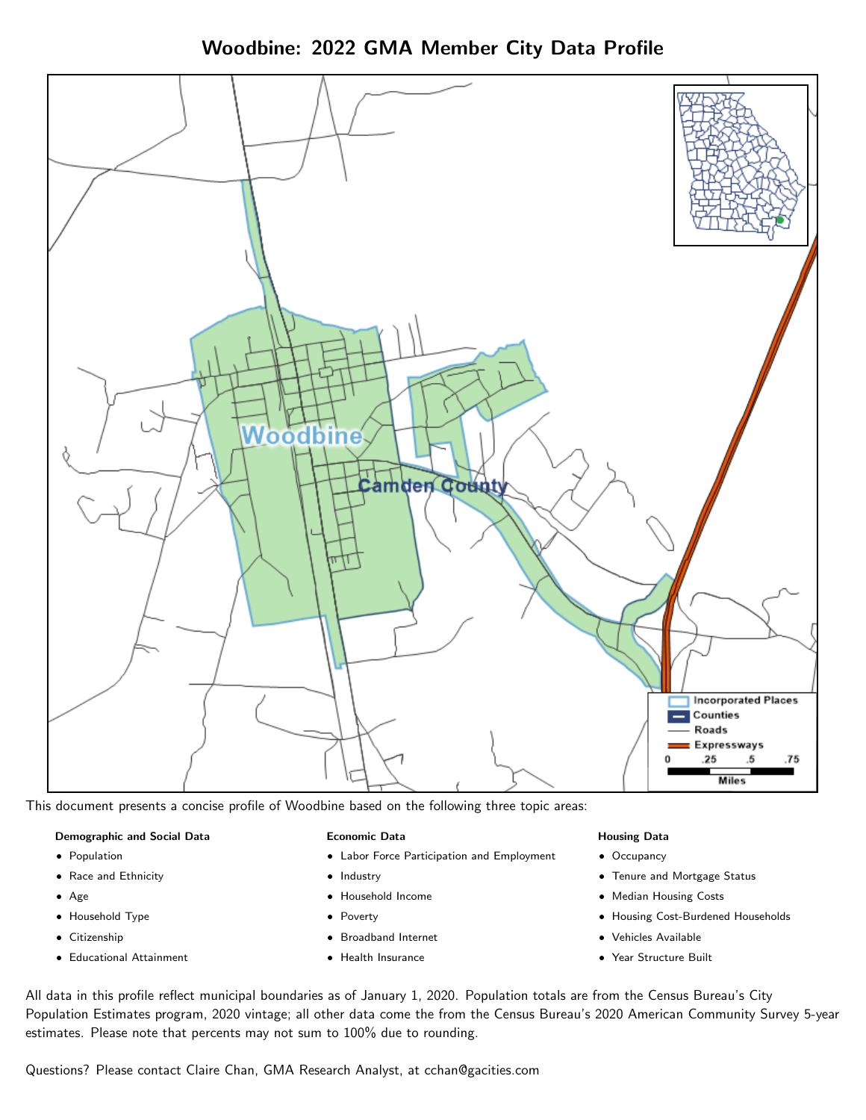Woodbine: 2022 GMA Member City Data Profile



This document presents a concise profile of Woodbine based on the following three topic areas:

#### Demographic and Social Data

- **•** Population
- Race and Ethnicity
- Age
- Household Type
- **Citizenship**
- Educational Attainment

#### Economic Data

- Labor Force Participation and Employment
- Industry
- Household Income
- Poverty
- Broadband Internet
- Health Insurance

#### Housing Data

- Occupancy
- Tenure and Mortgage Status
- Median Housing Costs
- Housing Cost-Burdened Households
- Vehicles Available
- Year Structure Built

All data in this profile reflect municipal boundaries as of January 1, 2020. Population totals are from the Census Bureau's City Population Estimates program, 2020 vintage; all other data come the from the Census Bureau's 2020 American Community Survey 5-year estimates. Please note that percents may not sum to 100% due to rounding.

Questions? Please contact Claire Chan, GMA Research Analyst, at [cchan@gacities.com.](mailto:cchan@gacities.com)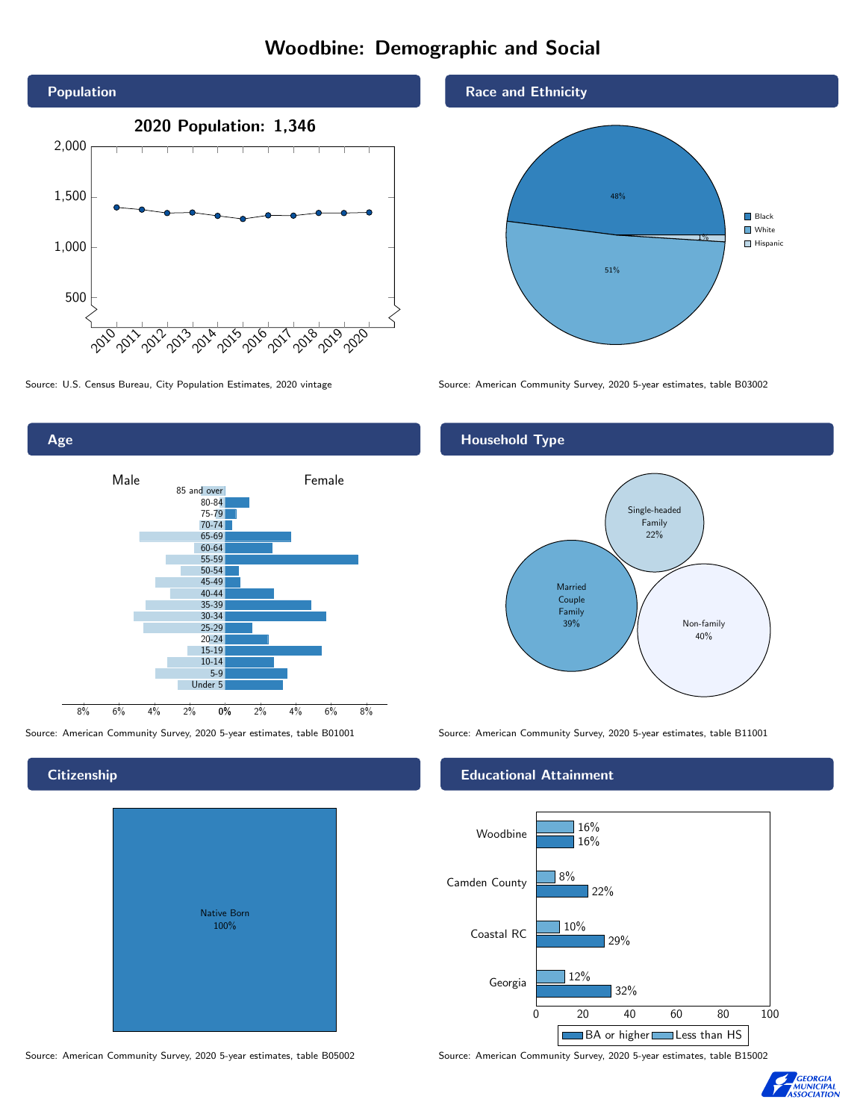# Woodbine: Demographic and Social



Age

**Citizenship** 

0% 2% 4% 6% 8% Male **Female** 8% 6% 4% 2% 85 and over 80-84 75-79 70-74 65-69 60-64 55-59 50-54 45-49 40-44 35-39 30-34 25-29 20-24 15-19  $10-14$ 5-9 Under 5

Native Born 100%

Source: American Community Survey, 2020 5-year estimates, table B05002 Source: American Community Survey, 2020 5-year estimates, table B15002





Source: U.S. Census Bureau, City Population Estimates, 2020 vintage Source: American Community Survey, 2020 5-year estimates, table B03002

#### Household Type



Source: American Community Survey, 2020 5-year estimates, table B01001 Source: American Community Survey, 2020 5-year estimates, table B11001

#### Educational Attainment



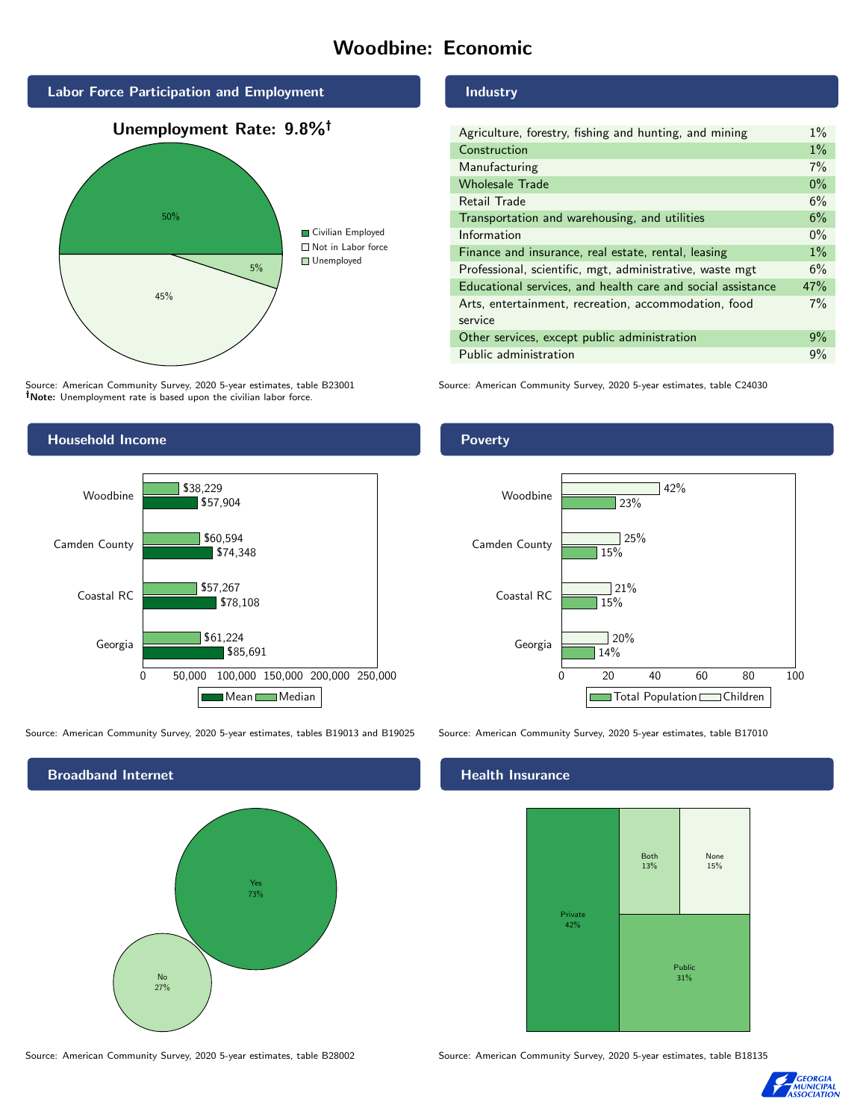# Woodbine: Economic



Source: American Community Survey, 2020 5-year estimates, table B23001 Note: Unemployment rate is based upon the civilian labor force.

#### Industry

| Agriculture, forestry, fishing and hunting, and mining      | $1\%$ |
|-------------------------------------------------------------|-------|
| Construction                                                | $1\%$ |
| Manufacturing                                               | 7%    |
| <b>Wholesale Trade</b>                                      | $0\%$ |
| Retail Trade                                                | 6%    |
| Transportation and warehousing, and utilities               | 6%    |
| Information                                                 | $0\%$ |
| Finance and insurance, real estate, rental, leasing         | $1\%$ |
| Professional, scientific, mgt, administrative, waste mgt    | 6%    |
| Educational services, and health care and social assistance | 47%   |
| Arts, entertainment, recreation, accommodation, food        | $7\%$ |
| service                                                     |       |
| Other services, except public administration                | 9%    |
| Public administration                                       | 9%    |

Source: American Community Survey, 2020 5-year estimates, table C24030



Source: American Community Survey, 2020 5-year estimates, tables B19013 and B19025 Source: American Community Survey, 2020 5-year estimates, table B17010



Poverty



### **Health Insurance**



Source: American Community Survey, 2020 5-year estimates, table B28002 Source: American Community Survey, 2020 5-year estimates, table B18135